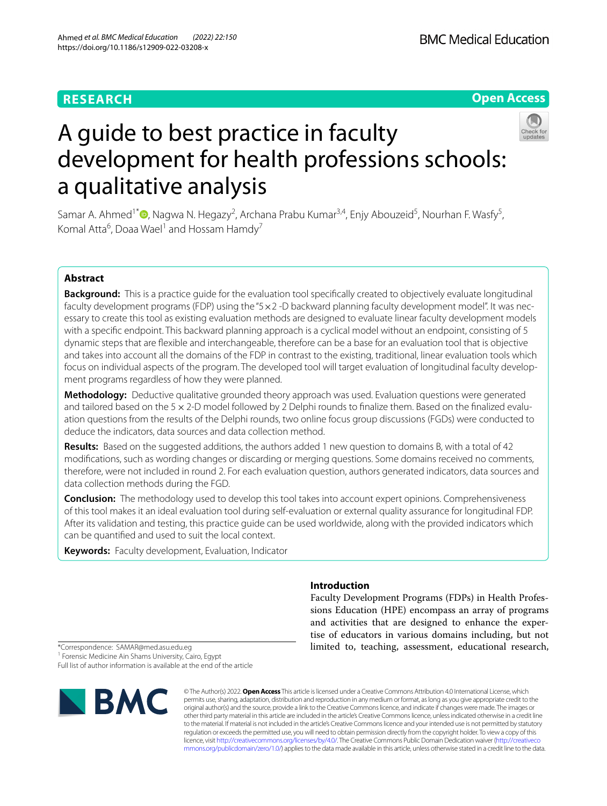# **RESEARCH**

# **Open Access**



# A guide to best practice in faculty development for health professions schools: a qualitative analysis

Samar A. Ahmed<sup>1[\\*](https://orcid.org/0000-0001-8119-9258)</sup>®, Nagwa N. Hegazy<sup>2</sup>, Archana Prabu Kumar<sup>3,4</sup>, Enjy Abouzeid<sup>5</sup>, Nourhan F. Wasfy<sup>5</sup>, Komal Atta<sup>6</sup>, Doaa Wael<sup>1</sup> and Hossam Hamdy<sup>7</sup>

# **Abstract**

**Background:** This is a practice guide for the evaluation tool specifcally created to objectively evaluate longitudinal faculty development programs (FDP) using the " $5 \times 2$  -D backward planning faculty development model". It was necessary to create this tool as existing evaluation methods are designed to evaluate linear faculty development models with a specifc endpoint. This backward planning approach is a cyclical model without an endpoint, consisting of 5 dynamic steps that are fexible and interchangeable, therefore can be a base for an evaluation tool that is objective and takes into account all the domains of the FDP in contrast to the existing, traditional, linear evaluation tools which focus on individual aspects of the program. The developed tool will target evaluation of longitudinal faculty development programs regardless of how they were planned.

**Methodology:** Deductive qualitative grounded theory approach was used. Evaluation questions were generated and tailored based on the 5×2-D model followed by 2 Delphi rounds to fnalize them. Based on the fnalized evaluation questions from the results of the Delphi rounds, two online focus group discussions (FGDs) were conducted to deduce the indicators, data sources and data collection method.

**Results:** Based on the suggested additions, the authors added 1 new question to domains B, with a total of 42 modifcations, such as wording changes or discarding or merging questions. Some domains received no comments, therefore, were not included in round 2. For each evaluation question, authors generated indicators, data sources and data collection methods during the FGD.

**Conclusion:** The methodology used to develop this tool takes into account expert opinions. Comprehensiveness of this tool makes it an ideal evaluation tool during self-evaluation or external quality assurance for longitudinal FDP. After its validation and testing, this practice guide can be used worldwide, along with the provided indicators which can be quantifed and used to suit the local context.

**Keywords:** Faculty development, Evaluation, Indicator

# **Introduction**

Faculty Development Programs (FDPs) in Health Professions Education (HPE) encompass an array of programs and activities that are designed to enhance the expertise of educators in various domains including, but not limited to, teaching, assessment, educational research,

\*Correspondence: SAMAR@med.asu.edu.eg

<sup>1</sup> Forensic Medicine Ain Shams University, Cairo, Egypt

Full list of author information is available at the end of the article



© The Author(s) 2022. **Open Access** This article is licensed under a Creative Commons Attribution 4.0 International License, which permits use, sharing, adaptation, distribution and reproduction in any medium or format, as long as you give appropriate credit to the original author(s) and the source, provide a link to the Creative Commons licence, and indicate if changes were made. The images or other third party material in this article are included in the article's Creative Commons licence, unless indicated otherwise in a credit line to the material. If material is not included in the article's Creative Commons licence and your intended use is not permitted by statutory regulation or exceeds the permitted use, you will need to obtain permission directly from the copyright holder. To view a copy of this licence, visit [http://creativecommons.org/licenses/by/4.0/.](http://creativecommons.org/licenses/by/4.0/) The Creative Commons Public Domain Dedication waiver ([http://creativeco](http://creativecommons.org/publicdomain/zero/1.0/) [mmons.org/publicdomain/zero/1.0/](http://creativecommons.org/publicdomain/zero/1.0/)) applies to the data made available in this article, unless otherwise stated in a credit line to the data.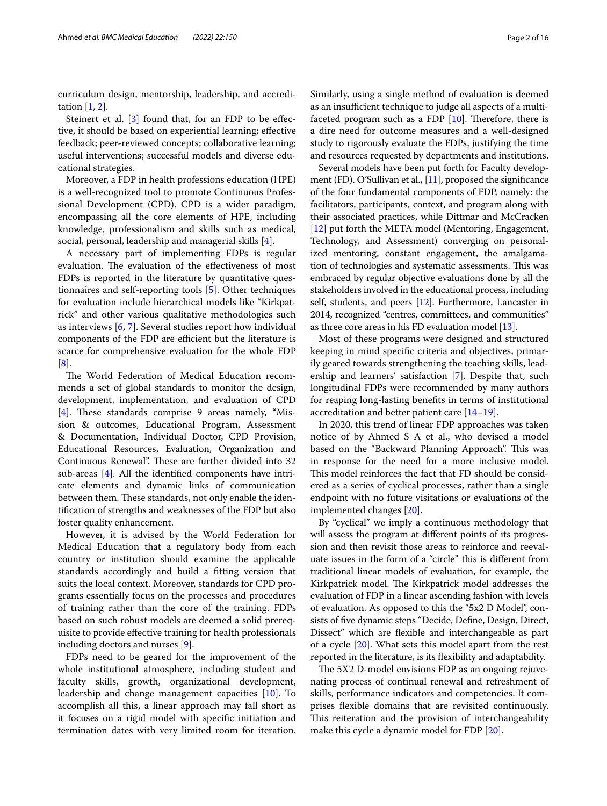curriculum design, mentorship, leadership, and accreditation [\[1](#page-14-0), [2\]](#page-14-1).

Steinert et al.  $[3]$  $[3]$  found that, for an FDP to be effective, it should be based on experiential learning; efective feedback; peer-reviewed concepts; collaborative learning; useful interventions; successful models and diverse educational strategies.

Moreover, a FDP in health professions education (HPE) is a well-recognized tool to promote Continuous Professional Development (CPD). CPD is a wider paradigm, encompassing all the core elements of HPE, including knowledge, professionalism and skills such as medical, social, personal, leadership and managerial skills [\[4](#page-14-3)].

A necessary part of implementing FDPs is regular evaluation. The evaluation of the effectiveness of most FDPs is reported in the literature by quantitative questionnaires and self-reporting tools [[5\]](#page-14-4). Other techniques for evaluation include hierarchical models like "Kirkpatrick" and other various qualitative methodologies such as interviews [[6,](#page-14-5) [7](#page-14-6)]. Several studies report how individual components of the FDP are efficient but the literature is scarce for comprehensive evaluation for the whole FDP [[8\]](#page-14-7).

The World Federation of Medical Education recommends a set of global standards to monitor the design, development, implementation, and evaluation of CPD [[4\]](#page-14-3). These standards comprise 9 areas namely, "Mission & outcomes, Educational Program, Assessment & Documentation, Individual Doctor, CPD Provision, Educational Resources, Evaluation, Organization and Continuous Renewal". These are further divided into 32 sub-areas [[4\]](#page-14-3). All the identifed components have intricate elements and dynamic links of communication between them. These standards, not only enable the identifcation of strengths and weaknesses of the FDP but also foster quality enhancement.

However, it is advised by the World Federation for Medical Education that a regulatory body from each country or institution should examine the applicable standards accordingly and build a ftting version that suits the local context. Moreover, standards for CPD programs essentially focus on the processes and procedures of training rather than the core of the training. FDPs based on such robust models are deemed a solid prerequisite to provide efective training for health professionals including doctors and nurses [\[9](#page-14-8)].

FDPs need to be geared for the improvement of the whole institutional atmosphere, including student and faculty skills, growth, organizational development, leadership and change management capacities [\[10](#page-14-9)]. To accomplish all this, a linear approach may fall short as it focuses on a rigid model with specifc initiation and termination dates with very limited room for iteration.

Similarly, using a single method of evaluation is deemed as an insufficient technique to judge all aspects of a multifaceted program such as a FDP  $[10]$  $[10]$ . Therefore, there is a dire need for outcome measures and a well-designed study to rigorously evaluate the FDPs, justifying the time and resources requested by departments and institutions.

Several models have been put forth for Faculty develop-ment (FD). O'Sullivan et al., [\[11\]](#page-14-10), proposed the significance of the four fundamental components of FDP, namely: the facilitators, participants, context, and program along with their associated practices, while Dittmar and McCracken [[12](#page-14-11)] put forth the META model (Mentoring, Engagement, Technology, and Assessment) converging on personalized mentoring, constant engagement, the amalgamation of technologies and systematic assessments. This was embraced by regular objective evaluations done by all the stakeholders involved in the educational process, including self, students, and peers [\[12](#page-14-11)]. Furthermore, Lancaster in 2014, recognized "centres, committees, and communities" as three core areas in his FD evaluation model [\[13\]](#page-14-12).

Most of these programs were designed and structured keeping in mind specifc criteria and objectives, primarily geared towards strengthening the teaching skills, leadership and learners' satisfaction [[7\]](#page-14-6). Despite that, such longitudinal FDPs were recommended by many authors for reaping long-lasting benefts in terms of institutional accreditation and better patient care [\[14](#page-14-13)[–19](#page-14-14)].

In 2020, this trend of linear FDP approaches was taken notice of by Ahmed S A et al., who devised a model based on the "Backward Planning Approach". This was in response for the need for a more inclusive model. This model reinforces the fact that FD should be considered as a series of cyclical processes, rather than a single endpoint with no future visitations or evaluations of the implemented changes [\[20](#page-14-15)].

By "cyclical" we imply a continuous methodology that will assess the program at diferent points of its progression and then revisit those areas to reinforce and reevaluate issues in the form of a "circle" this is diferent from traditional linear models of evaluation, for example, the Kirkpatrick model. The Kirkpatrick model addresses the evaluation of FDP in a linear ascending fashion with levels of evaluation. As opposed to this the "5x2 D Model", consists of fve dynamic steps "Decide, Defne, Design, Direct, Dissect" which are fexible and interchangeable as part of a cycle [\[20](#page-14-15)]. What sets this model apart from the rest reported in the literature, is its fexibility and adaptability.

The 5X2 D-model envisions FDP as an ongoing rejuvenating process of continual renewal and refreshment of skills, performance indicators and competencies. It comprises fexible domains that are revisited continuously. This reiteration and the provision of interchangeability make this cycle a dynamic model for FDP [\[20\]](#page-14-15).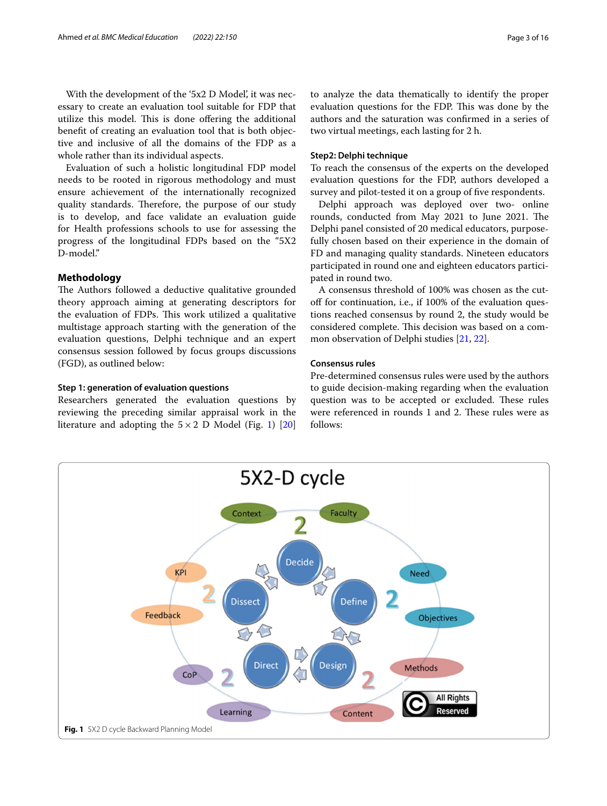With the development of the '5x2 D Model', it was necessary to create an evaluation tool suitable for FDP that utilize this model. This is done offering the additional beneft of creating an evaluation tool that is both objective and inclusive of all the domains of the FDP as a whole rather than its individual aspects.

Evaluation of such a holistic longitudinal FDP model needs to be rooted in rigorous methodology and must ensure achievement of the internationally recognized quality standards. Therefore, the purpose of our study is to develop, and face validate an evaluation guide for Health professions schools to use for assessing the progress of the longitudinal FDPs based on the "5X2 D-model."

## **Methodology**

The Authors followed a deductive qualitative grounded theory approach aiming at generating descriptors for the evaluation of FDPs. This work utilized a qualitative multistage approach starting with the generation of the evaluation questions, Delphi technique and an expert consensus session followed by focus groups discussions (FGD), as outlined below:

## **Step 1: generation of evaluation questions**

Researchers generated the evaluation questions by reviewing the preceding similar appraisal work in the literature and adopting the  $5 \times 2$  D Model (Fig. [1](#page-2-0)) [[20](#page-14-15)] to analyze the data thematically to identify the proper evaluation questions for the FDP. This was done by the authors and the saturation was confrmed in a series of two virtual meetings, each lasting for 2 h.

## **Step2: Delphi technique**

To reach the consensus of the experts on the developed evaluation questions for the FDP, authors developed a survey and pilot-tested it on a group of five respondents.

Delphi approach was deployed over two- online rounds, conducted from May 2021 to June 2021. The Delphi panel consisted of 20 medical educators, purposefully chosen based on their experience in the domain of FD and managing quality standards. Nineteen educators participated in round one and eighteen educators participated in round two.

A consensus threshold of 100% was chosen as the cutof for continuation, i.e., if 100% of the evaluation questions reached consensus by round 2, the study would be considered complete. This decision was based on a common observation of Delphi studies [[21,](#page-14-16) [22\]](#page-14-17).

## **Consensus rules**

Pre-determined consensus rules were used by the authors to guide decision-making regarding when the evaluation question was to be accepted or excluded. These rules were referenced in rounds 1 and 2. These rules were as follows:

<span id="page-2-0"></span>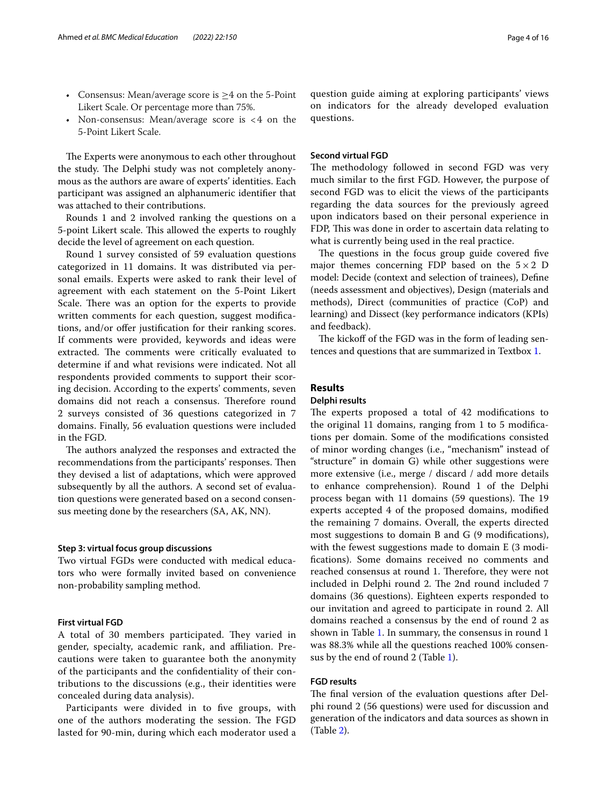- Consensus: Mean/average score is  $\geq$ 4 on the 5-Point Likert Scale. Or percentage more than 75%.
- Non-consensus: Mean/average score is <4 on the 5-Point Likert Scale.

The Experts were anonymous to each other throughout the study. The Delphi study was not completely anonymous as the authors are aware of experts' identities. Each participant was assigned an alphanumeric identifer that was attached to their contributions.

Rounds 1 and 2 involved ranking the questions on a 5-point Likert scale. This allowed the experts to roughly decide the level of agreement on each question.

Round 1 survey consisted of 59 evaluation questions categorized in 11 domains. It was distributed via personal emails. Experts were asked to rank their level of agreement with each statement on the 5-Point Likert Scale. There was an option for the experts to provide written comments for each question, suggest modifcations, and/or offer justification for their ranking scores. If comments were provided, keywords and ideas were extracted. The comments were critically evaluated to determine if and what revisions were indicated. Not all respondents provided comments to support their scoring decision. According to the experts' comments, seven domains did not reach a consensus. Therefore round 2 surveys consisted of 36 questions categorized in 7 domains. Finally, 56 evaluation questions were included in the FGD.

The authors analyzed the responses and extracted the recommendations from the participants' responses. Then they devised a list of adaptations, which were approved subsequently by all the authors. A second set of evaluation questions were generated based on a second consensus meeting done by the researchers (SA, AK, NN).

#### **Step 3: virtual focus group discussions**

Two virtual FGDs were conducted with medical educators who were formally invited based on convenience non-probability sampling method.

## **First virtual FGD**

A total of 30 members participated. They varied in gender, specialty, academic rank, and afliation. Precautions were taken to guarantee both the anonymity of the participants and the confdentiality of their contributions to the discussions (e.g., their identities were concealed during data analysis).

Participants were divided in to five groups, with one of the authors moderating the session. The FGD lasted for 90-min, during which each moderator used a

question guide aiming at exploring participants' views on indicators for the already developed evaluation questions.

## **Second virtual FGD**

The methodology followed in second FGD was very much similar to the frst FGD. However, the purpose of second FGD was to elicit the views of the participants regarding the data sources for the previously agreed upon indicators based on their personal experience in FDP, This was done in order to ascertain data relating to what is currently being used in the real practice.

The questions in the focus group guide covered five major themes concerning FDP based on the  $5 \times 2$  D model: Decide (context and selection of trainees), Defne (needs assessment and objectives), Design (materials and methods), Direct (communities of practice (CoP) and learning) and Dissect (key performance indicators (KPIs) and feedback).

The kickoff of the FGD was in the form of leading sentences and questions that are summarized in Textbox [1.](#page-13-0)

## **Results**

#### **Delphi results**

The experts proposed a total of 42 modifications to the original 11 domains, ranging from 1 to 5 modifcations per domain. Some of the modifcations consisted of minor wording changes (i.e., "mechanism" instead of "structure" in domain G) while other suggestions were more extensive (i.e., merge / discard / add more details to enhance comprehension). Round 1 of the Delphi process began with 11 domains (59 questions). The 19 experts accepted 4 of the proposed domains, modifed the remaining 7 domains. Overall, the experts directed most suggestions to domain B and G (9 modifcations), with the fewest suggestions made to domain E (3 modifcations). Some domains received no comments and reached consensus at round 1. Therefore, they were not included in Delphi round 2. The 2nd round included 7 domains (36 questions). Eighteen experts responded to our invitation and agreed to participate in round 2. All domains reached a consensus by the end of round 2 as shown in Table [1](#page-4-0). In summary, the consensus in round 1 was 88.3% while all the questions reached 100% consensus by the end of round 2 (Table [1](#page-4-0)).

## **FGD results**

The final version of the evaluation questions after Delphi round 2 (56 questions) were used for discussion and generation of the indicators and data sources as shown in (Table [2\)](#page-7-0).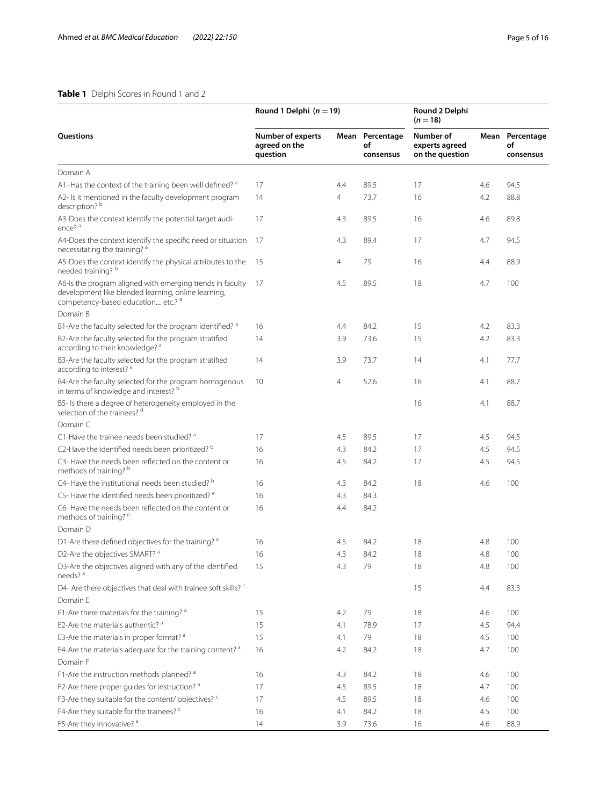## <span id="page-4-0"></span>**Table 1** Delphi Scores in Round 1 and 2

|                                                                                                                                                        | Round 1 Delphi $(n = 19)$                             |     |                                    | Round 2 Delphi<br>$(n=18)$                     |     |                                    |
|--------------------------------------------------------------------------------------------------------------------------------------------------------|-------------------------------------------------------|-----|------------------------------------|------------------------------------------------|-----|------------------------------------|
| <b>Ouestions</b>                                                                                                                                       | <b>Number of experts</b><br>agreed on the<br>question |     | Mean Percentage<br>of<br>consensus | Number of<br>experts agreed<br>on the question |     | Mean Percentage<br>of<br>consensus |
| Domain A                                                                                                                                               |                                                       |     |                                    |                                                |     |                                    |
| A1- Has the context of the training been well defined? a                                                                                               | 17                                                    | 4.4 | 89.5                               | 17                                             | 4.6 | 94.5                               |
| A2- Is it mentioned in the faculty development program<br>description? <sup>b</sup>                                                                    | 14                                                    | 4   | 73.7                               | 16                                             | 4.2 | 88.8                               |
| A3-Does the context identify the potential target audi-<br>ence? <sup>a</sup>                                                                          | 17                                                    | 4.3 | 89.5                               | 16                                             | 4.6 | 89.8                               |
| A4-Does the context identify the specific need or situation<br>necessitating the training? a                                                           | -17                                                   | 4.3 | 89.4                               | 17                                             | 4.7 | 94.5                               |
| A5-Does the context identify the physical attributes to the<br>needed training? b                                                                      | 15                                                    | 4   | 79                                 | 16                                             | 4.4 | 88.9                               |
| A6-Is the program aligned with emerging trends in faculty<br>development like blended learning, online learning,<br>competency-based education etc.? a | - 17                                                  | 4.5 | 89.5                               | 18                                             | 4.7 | 100                                |
| Domain B                                                                                                                                               |                                                       |     |                                    |                                                |     |                                    |
| B1-Are the faculty selected for the program identified? a                                                                                              | 16                                                    | 4.4 | 84.2                               | 15                                             | 4.2 | 83.3                               |
| B2-Are the faculty selected for the program stratified<br>according to their knowledge? a                                                              | 14                                                    | 3.9 | 73.6                               | 15                                             | 4.2 | 83.3                               |
| B3-Are the faculty selected for the program stratified<br>according to interest? a                                                                     | 14                                                    | 3.9 | 73.7                               | 14                                             | 4.1 | 77.7                               |
| B4-Are the faculty selected for the program homogenous<br>in terms of knowledge and interest? b                                                        | 10                                                    | 4   | 52.6                               | 16                                             | 4.1 | 88.7                               |
| B5- Is there a degree of heterogeneity employed in the<br>selection of the trainees? d                                                                 |                                                       |     |                                    | 16                                             | 4.1 | 88.7                               |
| Domain C                                                                                                                                               |                                                       |     |                                    |                                                |     |                                    |
| C1-Have the trainee needs been studied? a                                                                                                              | 17                                                    | 4.5 | 89.5                               | 17                                             | 4.5 | 94.5                               |
| C2-Have the identified needs been prioritized? b                                                                                                       | 16                                                    | 4.3 | 84.2                               | 17                                             | 4.5 | 94.5                               |
| C3- Have the needs been reflected on the content or<br>methods of training? b                                                                          | 16                                                    | 4.5 | 84.2                               | 17                                             | 4.5 | 94.5                               |
| C4- Have the institutional needs been studied? b                                                                                                       | 16                                                    | 4.3 | 84.2                               | 18                                             | 4.6 | 100                                |
| C5- Have the identified needs been prioritized? e                                                                                                      | 16                                                    | 4.3 | 84.3                               |                                                |     |                                    |
| C6-Have the needs been reflected on the content or<br>methods of training? <sup>e</sup>                                                                | 16                                                    | 4.4 | 84.2                               |                                                |     |                                    |
| Domain D                                                                                                                                               |                                                       |     |                                    |                                                |     |                                    |
| D1-Are there defined objectives for the training? a                                                                                                    | 16                                                    | 4.5 | 84.2                               | 18                                             | 4.8 | 100                                |
| D2-Are the objectives SMART? a                                                                                                                         | 16                                                    | 4.3 | 84.2                               | 18                                             | 4.8 | 100                                |
| D3-Are the objectives aligned with any of the identified<br>needs? <sup>a</sup>                                                                        | 15                                                    | 4.3 | 79                                 | 18                                             | 4.8 | 100                                |
| D4- Are there objectives that deal with trainee soft skills? <sup>c</sup>                                                                              |                                                       |     |                                    | 15                                             | 4.4 | 83.3                               |
| Domain E                                                                                                                                               |                                                       |     |                                    |                                                |     |                                    |
| E1-Are there materials for the training? a                                                                                                             | 15                                                    | 4.2 | 79                                 | 18                                             | 4.6 | 100                                |
| F2-Are the materials authentic? <sup>a</sup>                                                                                                           | 15                                                    | 4.1 | 78.9                               | 17                                             | 4.5 | 94.4                               |
| E3-Are the materials in proper format? a                                                                                                               | 15                                                    | 4.1 | 79                                 | 18                                             | 4.5 | 100                                |
| E4-Are the materials adequate for the training content? a                                                                                              | 16                                                    | 4.2 | 84.2                               | 18                                             | 4.7 | 100                                |
| Domain F                                                                                                                                               |                                                       |     |                                    |                                                |     |                                    |
| F1-Are the instruction methods planned? a                                                                                                              | 16                                                    | 4.3 | 84.2                               | 18                                             | 4.6 | 100                                |
| F2-Are there proper guides for instruction? a                                                                                                          | 17                                                    | 4.5 | 89.5                               | 18                                             | 4.7 | 100                                |
| F3-Are they suitable for the content/objectives? <sup>c</sup>                                                                                          | 17                                                    | 4.5 | 89.5                               | 18                                             | 4.6 | 100                                |
| F4-Are they suitable for the trainees? <sup>c</sup>                                                                                                    | 16                                                    | 4.1 | 84.2                               | 18                                             | 4.5 | 100                                |
| F5-Are they innovative? <sup>a</sup>                                                                                                                   | 14                                                    | 3.9 | 73.6                               | 16                                             | 4.6 | 88.9                               |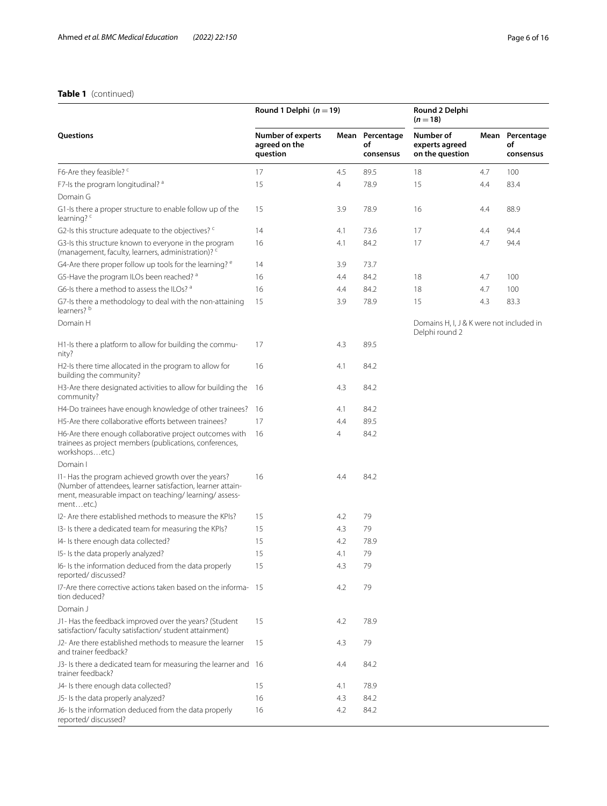# **Table 1** (continued)

|                                                                                                                                                                                         | Round 1 Delphi $(n = 19)$                             |                |                                    | Round 2 Delphi<br>$(n=18)$                                 |     |                                    |
|-----------------------------------------------------------------------------------------------------------------------------------------------------------------------------------------|-------------------------------------------------------|----------------|------------------------------------|------------------------------------------------------------|-----|------------------------------------|
| Questions                                                                                                                                                                               | <b>Number of experts</b><br>agreed on the<br>question |                | Mean Percentage<br>of<br>consensus | Number of<br>experts agreed<br>on the question             |     | Mean Percentage<br>of<br>consensus |
| F6-Are they feasible? <sup>c</sup>                                                                                                                                                      | 17                                                    | 4.5            | 89.5                               | 18                                                         | 4.7 | 100                                |
| F7-Is the program longitudinal? a                                                                                                                                                       | 15                                                    | $\overline{4}$ | 78.9                               | 15                                                         | 4.4 | 83.4                               |
| Domain G                                                                                                                                                                                |                                                       |                |                                    |                                                            |     |                                    |
| G1-Is there a proper structure to enable follow up of the<br>learning? $c$                                                                                                              | 15                                                    | 3.9            | 78.9                               | 16                                                         | 4.4 | 88.9                               |
| G2-Is this structure adequate to the objectives? <sup>c</sup>                                                                                                                           | 14                                                    | 4.1            | 73.6                               | 17                                                         | 4.4 | 94.4                               |
| G3-Is this structure known to everyone in the program<br>(management, faculty, learners, administration)? <sup>c</sup>                                                                  | 16                                                    | 4.1            | 84.2                               | 17                                                         | 4.7 | 94.4                               |
| G4-Are there proper follow up tools for the learning? <sup>e</sup>                                                                                                                      | 14                                                    | 3.9            | 73.7                               |                                                            |     |                                    |
| G5-Have the program ILOs been reached? a                                                                                                                                                | 16                                                    | 4.4            | 84.2                               | 18                                                         | 4.7 | 100                                |
| G6-Is there a method to assess the ILOs? a                                                                                                                                              | 16                                                    | 4.4            | 84.2                               | 18                                                         | 4.7 | 100                                |
| G7-Is there a methodology to deal with the non-attaining<br>learners? <sup>b</sup>                                                                                                      | 15                                                    | 3.9            | 78.9                               | 15                                                         | 4.3 | 83.3                               |
| Domain H                                                                                                                                                                                |                                                       |                |                                    | Domains H, I, J & K were not included in<br>Delphi round 2 |     |                                    |
| H1-Is there a platform to allow for building the commu-<br>nity?                                                                                                                        | 17                                                    | 4.3            | 89.5                               |                                                            |     |                                    |
| H2-Is there time allocated in the program to allow for<br>building the community?                                                                                                       | 16                                                    | 4.1            | 84.2                               |                                                            |     |                                    |
| H3-Are there designated activities to allow for building the<br>community?                                                                                                              | 16                                                    | 4.3            | 84.2                               |                                                            |     |                                    |
| H4-Do trainees have enough knowledge of other trainees?                                                                                                                                 | 16                                                    | 4.1            | 84.2                               |                                                            |     |                                    |
| H5-Are there collaborative efforts between trainees?                                                                                                                                    | 17                                                    | 4.4            | 89.5                               |                                                            |     |                                    |
| H6-Are there enough collaborative project outcomes with<br>trainees as project members (publications, conferences,<br>workshopsetc.)                                                    | 16                                                    | 4              | 84.2                               |                                                            |     |                                    |
| Domain I                                                                                                                                                                                |                                                       |                |                                    |                                                            |     |                                    |
| I1- Has the program achieved growth over the years?<br>(Number of attendees, learner satisfaction, learner attain-<br>ment, measurable impact on teaching/learning/assess-<br>mentetc.) | 16                                                    | 4.4            | 84.2                               |                                                            |     |                                    |
| 12- Are there established methods to measure the KPIs?                                                                                                                                  | 15                                                    | 4.2            | 79                                 |                                                            |     |                                    |
| I3- Is there a dedicated team for measuring the KPIs?                                                                                                                                   | 15                                                    | 4.3            | 79                                 |                                                            |     |                                    |
| I4- Is there enough data collected?                                                                                                                                                     | 15                                                    | 4.2            | 78.9                               |                                                            |     |                                    |
| 15- Is the data properly analyzed?                                                                                                                                                      | 15                                                    | 4.1            | 79                                 |                                                            |     |                                    |
| I6- Is the information deduced from the data properly<br>reported/discussed?                                                                                                            | 15                                                    | 4.3            | 79                                 |                                                            |     |                                    |
| 17-Are there corrective actions taken based on the informa-15<br>tion deduced?                                                                                                          |                                                       | 4.2            | 79                                 |                                                            |     |                                    |
| Domain J                                                                                                                                                                                |                                                       |                |                                    |                                                            |     |                                    |
| J1- Has the feedback improved over the years? (Student<br>satisfaction/faculty satisfaction/student attainment)                                                                         | 15                                                    | 4.2            | 78.9                               |                                                            |     |                                    |
| J2- Are there established methods to measure the learner<br>and trainer feedback?                                                                                                       | 15                                                    | 4.3            | 79                                 |                                                            |     |                                    |
| J3- Is there a dedicated team for measuring the learner and 16<br>trainer feedback?                                                                                                     |                                                       | 4.4            | 84.2                               |                                                            |     |                                    |
| J4- Is there enough data collected?                                                                                                                                                     | 15                                                    | 4.1            | 78.9                               |                                                            |     |                                    |
| J5- Is the data properly analyzed?                                                                                                                                                      | 16                                                    | 4.3            | 84.2                               |                                                            |     |                                    |
| J6- Is the information deduced from the data properly<br>reported/discussed?                                                                                                            | 16                                                    | 4.2            | 84.2                               |                                                            |     |                                    |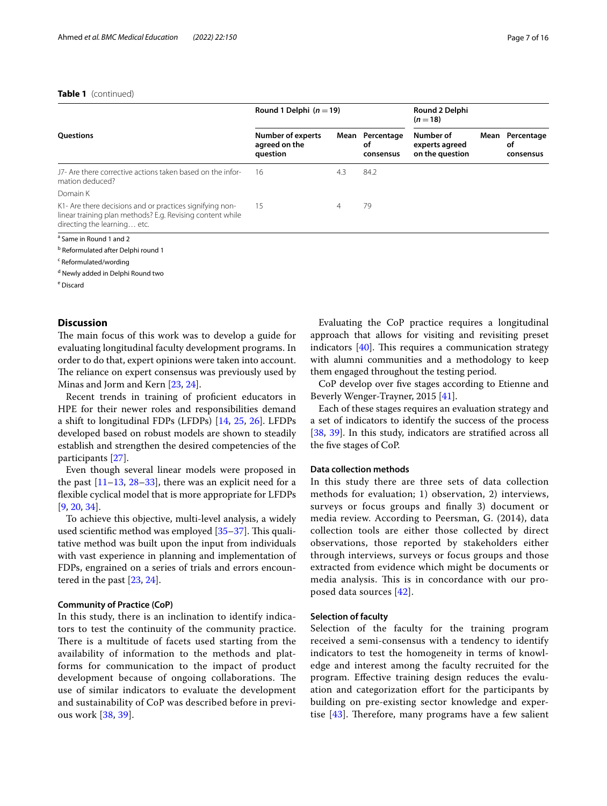## **Table 1** (continued)

|                                                                                                                                                      | Round 1 Delphi $(n=19)$                        |      |                               | Round 2 Delphi<br>$(n=18)$                     |      |                               |
|------------------------------------------------------------------------------------------------------------------------------------------------------|------------------------------------------------|------|-------------------------------|------------------------------------------------|------|-------------------------------|
| <b>Ouestions</b>                                                                                                                                     | Number of experts<br>agreed on the<br>question | Mean | Percentage<br>оf<br>consensus | Number of<br>experts agreed<br>on the question | Mean | Percentage<br>οf<br>consensus |
| 17- Are there corrective actions taken based on the infor-<br>mation deduced?                                                                        | 16                                             | 4.3  | 84.2                          |                                                |      |                               |
| Domain K                                                                                                                                             |                                                |      |                               |                                                |      |                               |
| K1- Are there decisions and or practices signifying non-<br>linear training plan methods? E.g. Revising content while<br>directing the learning etc. | 15                                             | 4    | 79                            |                                                |      |                               |
| <sup>a</sup> Same in Round 1 and 2                                                                                                                   |                                                |      |                               |                                                |      |                               |

<sup>b</sup> Reformulated after Delphi round 1

<sup>c</sup> Reformulated/wording

<sup>d</sup> Newly added in Delphi Round two

e Discard

## **Discussion**

The main focus of this work was to develop a guide for evaluating longitudinal faculty development programs. In order to do that, expert opinions were taken into account. The reliance on expert consensus was previously used by Minas and Jorm and Kern [[23,](#page-14-18) [24](#page-14-19)].

Recent trends in training of proficient educators in HPE for their newer roles and responsibilities demand a shift to longitudinal FDPs (LFDPs) [\[14](#page-14-13), [25,](#page-14-20) [26\]](#page-14-21). LFDPs developed based on robust models are shown to steadily establish and strengthen the desired competencies of the participants [\[27](#page-14-22)].

Even though several linear models were proposed in the past  $[11-13, 28-33]$  $[11-13, 28-33]$  $[11-13, 28-33]$  $[11-13, 28-33]$  $[11-13, 28-33]$ , there was an explicit need for a fexible cyclical model that is more appropriate for LFDPs [[9,](#page-14-8) [20](#page-14-15), [34\]](#page-15-1).

To achieve this objective, multi-level analysis, a widely used scientific method was employed  $[35-37]$  $[35-37]$  $[35-37]$ . This qualitative method was built upon the input from individuals with vast experience in planning and implementation of FDPs, engrained on a series of trials and errors encountered in the past [\[23](#page-14-18), [24\]](#page-14-19).

## **Community of Practice (CoP)**

In this study, there is an inclination to identify indicators to test the continuity of the community practice. There is a multitude of facets used starting from the availability of information to the methods and platforms for communication to the impact of product development because of ongoing collaborations. The use of similar indicators to evaluate the development and sustainability of CoP was described before in previous work [[38](#page-15-4), [39](#page-15-5)].

Evaluating the CoP practice requires a longitudinal approach that allows for visiting and revisiting preset indicators  $[40]$  $[40]$ . This requires a communication strategy with alumni communities and a methodology to keep them engaged throughout the testing period.

CoP develop over fve stages according to Etienne and Beverly Wenger-Trayner, 2015 [[41\]](#page-15-7).

Each of these stages requires an evaluation strategy and a set of indicators to identify the success of the process [[38,](#page-15-4) [39](#page-15-5)]. In this study, indicators are stratifed across all the fve stages of CoP.

## **Data collection methods**

In this study there are three sets of data collection methods for evaluation; 1) observation, 2) interviews, surveys or focus groups and fnally 3) document or media review. According to Peersman, G. (2014), data collection tools are either those collected by direct observations, those reported by stakeholders either through interviews, surveys or focus groups and those extracted from evidence which might be documents or media analysis. This is in concordance with our proposed data sources [\[42](#page-15-8)].

## **Selection of faculty**

Selection of the faculty for the training program received a semi-consensus with a tendency to identify indicators to test the homogeneity in terms of knowledge and interest among the faculty recruited for the program. Efective training design reduces the evaluation and categorization efort for the participants by building on pre-existing sector knowledge and expertise  $[43]$  $[43]$ . Therefore, many programs have a few salient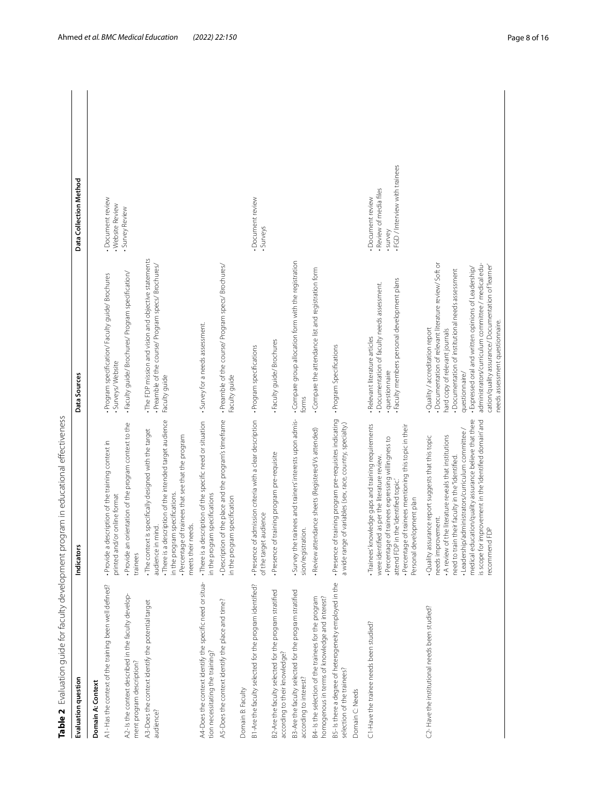<span id="page-7-0"></span>

| Table 2 Evaluation guide for faculty development pr                                                    | ogram in educational effectiveness                                                                                                                                                                                                                                                                                                                                             |                                                                                                                                                                                                                                                                                                                                                                                                            |                                                                                           |
|--------------------------------------------------------------------------------------------------------|--------------------------------------------------------------------------------------------------------------------------------------------------------------------------------------------------------------------------------------------------------------------------------------------------------------------------------------------------------------------------------|------------------------------------------------------------------------------------------------------------------------------------------------------------------------------------------------------------------------------------------------------------------------------------------------------------------------------------------------------------------------------------------------------------|-------------------------------------------------------------------------------------------|
| Evaluation question                                                                                    | Indicators                                                                                                                                                                                                                                                                                                                                                                     | Data Sources                                                                                                                                                                                                                                                                                                                                                                                               | Data Collection Method                                                                    |
| Domain A: Context                                                                                      |                                                                                                                                                                                                                                                                                                                                                                                |                                                                                                                                                                                                                                                                                                                                                                                                            |                                                                                           |
| A1- Has the context of the training been well defined?                                                 | . Provide a description of the training context in<br>/or online format<br>printed and                                                                                                                                                                                                                                                                                         | · Program specification/ Faculty guide/ Brochures<br>Surveys/Website                                                                                                                                                                                                                                                                                                                                       | · Document review<br>· Website Review                                                     |
| 42- Is the context described in the faculty develop-<br>ment program description?                      | orientation of the program context to the<br>Provide an<br>trainees                                                                                                                                                                                                                                                                                                            | · Faculty guide/ Brochures/ Program specification/                                                                                                                                                                                                                                                                                                                                                         | · Survey Review                                                                           |
| A3-Does the context identify the potential target<br>audience?                                         | . There is a description of the intended target audience<br>. The context is specifically designed with the target<br>. Percentage of trainees that see that the program<br>in the program specifications.<br>meets their needs.<br>audience in mind.                                                                                                                          | . The FDP mission and vision and objective statements<br>· Preamble of the course/ Program specs/ Brochures/<br>Faculty guide                                                                                                                                                                                                                                                                              |                                                                                           |
| A4-Does the context identify the specific need or situa-<br>tion necessitating the training?           | . There is a description of the specific need or situation<br>in the program specifications                                                                                                                                                                                                                                                                                    | • Survey for a needs assessment.                                                                                                                                                                                                                                                                                                                                                                           |                                                                                           |
| A5-Does the context identify the place and time?                                                       | - Description of the place and the program's timeframe<br>in the program specification                                                                                                                                                                                                                                                                                         | · Preamble of the course/ Program specs/ Brochures/<br>Faculty guide                                                                                                                                                                                                                                                                                                                                       |                                                                                           |
| Domain B: Faculty                                                                                      |                                                                                                                                                                                                                                                                                                                                                                                |                                                                                                                                                                                                                                                                                                                                                                                                            |                                                                                           |
| B1-Are the faculty selected for the program identified?                                                | · Presence of admission criteria with a clear description<br>of the target audience                                                                                                                                                                                                                                                                                            | · Program specifications                                                                                                                                                                                                                                                                                                                                                                                   | · Document review<br>· Surveys                                                            |
| 32-Are the faculty selected for the program stratified<br>according to their knowledge?                | · Presence of training program pre-requisite                                                                                                                                                                                                                                                                                                                                   | Faculty guide/Brochures                                                                                                                                                                                                                                                                                                                                                                                    |                                                                                           |
| B3-Are the faculty selected for the program stratified<br>according to interest?                       | Survey the trainees and trainers' interests upon admis-<br>sion/registration.                                                                                                                                                                                                                                                                                                  | . Compare group allocation form with the registration<br>forms                                                                                                                                                                                                                                                                                                                                             |                                                                                           |
| B4- Is the selection of the trainees for the program<br>homogenous in terms of knowledge and interest? | · Review attendance sheets (Registered Vs attended)                                                                                                                                                                                                                                                                                                                            | Compare the attendance list and registration form                                                                                                                                                                                                                                                                                                                                                          |                                                                                           |
| B5-Is there a degree of heterogeneity employed in the<br>selection of the trainees?                    | · Presence of training program pre-requisites indicating<br>a wide range of variables (sex, race, country, specialty.)                                                                                                                                                                                                                                                         | · Program Specifications                                                                                                                                                                                                                                                                                                                                                                                   |                                                                                           |
| Domain C: Needs                                                                                        |                                                                                                                                                                                                                                                                                                                                                                                |                                                                                                                                                                                                                                                                                                                                                                                                            |                                                                                           |
| C1-Have the trainee needs been studied?                                                                | Trainees' knowledge gaps and training requirements<br>· Percentage of trainees mentioning this topic in their<br>• Percentage of trainees expressing willingness to<br>attend FDP in the 'identified topic.'<br>were identified as per the literature review.<br>Personal development plan                                                                                     | Faculty members personal development plans<br>- Documentation of faculty needs assessment.<br>· Relevant literature articles<br>· questionnaire                                                                                                                                                                                                                                                            | . FGD / Interview with trainees<br>. Review of media files<br>Document review<br>· survey |
| C2-Have the institutional needs been studied?                                                          | medical education/quality assurance believe that there<br>is scope for improvement in the 'identified domain' and<br>- Leadership/administrators/curriculum committee /<br>Quality assurance report suggests that this topic<br>A review of the literature reveals that institutions<br>need to train their faculty in the "identified.<br>needs improvement.<br>recommend FDP | - Documentation of relevant literature review/ Soft or<br>administrators/curriculum committee / medical edu-<br>cation/quality assurance/ Documentation of 'learner'<br>- Expressed oral and written opinions of Leadership/<br>· Documentation of institutional needs assessment<br>needs assessment questionnaire.<br>Quality / accreditation report<br>hard copy of relevant journals<br>questionnaire/ |                                                                                           |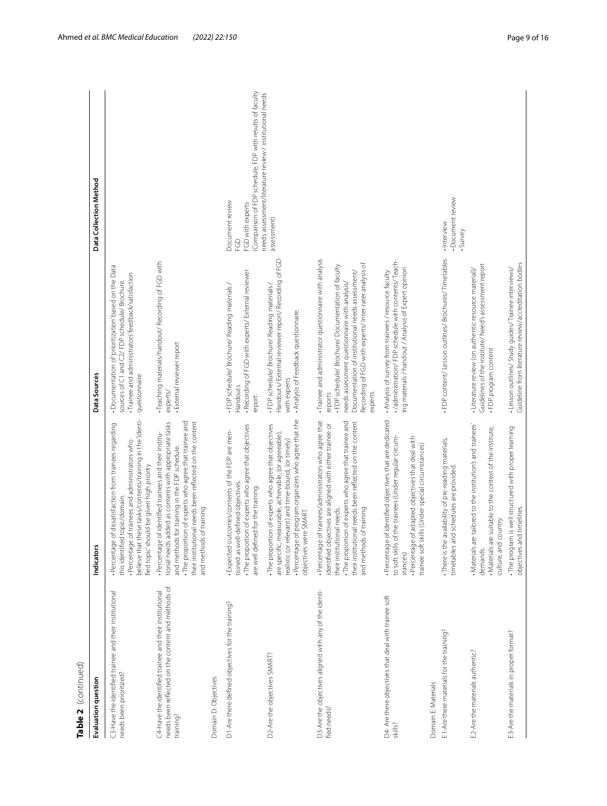| Table 2 (continued)                                                                                                       |                                                                                                                                                                                                                                                                                                                |                                                                                                                                                                                                                                                                                                     |                                                                                                      |
|---------------------------------------------------------------------------------------------------------------------------|----------------------------------------------------------------------------------------------------------------------------------------------------------------------------------------------------------------------------------------------------------------------------------------------------------------|-----------------------------------------------------------------------------------------------------------------------------------------------------------------------------------------------------------------------------------------------------------------------------------------------------|------------------------------------------------------------------------------------------------------|
| Evaluation question                                                                                                       | Indicators                                                                                                                                                                                                                                                                                                     | Data Sources                                                                                                                                                                                                                                                                                        | Data Collection Method                                                                               |
| C3-Have the identified trainee and their institutional<br>needs been prioritized?                                         | believe that these tasks/contents/training in the 'identi-<br>of dissatisfaction from trainees regarding<br>· Percentage of trainees and administrators who<br>fied topic' should be given high priority<br>this identified topic/domain<br>. Percentage                                                       | • Documentation of prioritization' based on the Data<br>· Trainee and administrators' feedback/satisfaction<br>sources of C1 and C2/FDP schedule/ Brochure.<br>questionnaire                                                                                                                        |                                                                                                      |
| needs been reflected on the content and methods of<br>C4-Have the identified trainee and their institutional<br>training? | The proportion of experts who agree that trainee and<br>their institutional needs been reflected on the content<br>tional needs added as contents with appropriate tasks<br>· Percentage of identified trainees and their institu-<br>and methods for training in the FDP schedule.<br>and methods of training | Teaching materials/handout/Recording of FGD with<br>· External reviewer report<br>experts/                                                                                                                                                                                                          |                                                                                                      |
| Domain D: Objectives                                                                                                      |                                                                                                                                                                                                                                                                                                                |                                                                                                                                                                                                                                                                                                     |                                                                                                      |
| D1-Are there defined objectives for the training?                                                                         | . The proportion of experts who agree that objectives<br>- Expected outcomes/contents of the FDP are men-<br>tioned as well-defined objectives.<br>are well defined for the training.                                                                                                                          | · Recording of FGD with experts/ External reviewer<br>· FDP schedule/ Brochure/ Reading materials /<br>Handouts<br>report.                                                                                                                                                                          | (Comparison of FDP schedule, FDP with results of faculty<br>Document review<br>FGD with experts<br>G |
| D2-Are the objectives SMART?                                                                                              | · Percentage of program organizers who agree that the<br>. The proportion of experts who agree that objectives<br>are specific, measurable, achievable, (or agreeable),<br>realistic (or relevant) and time-bound, (or timely)<br>objectives were SMART.                                                       | Handouts/ External reviewer report/ Recording of FGD<br>· FDP schedule/ Brochure/ Reading materials /<br>. Analysis of Feedback questionnaire.<br>with experts                                                                                                                                      | needs assessment/literature review / institutional needs<br>assessment)                              |
| D3-Are the objectives aligned with any of the identi-<br>fied needs?                                                      | of trainees/administrators who agree that<br>. The proportion of experts who agree that trainee and<br>their institutional needs been reflected on the content<br>identified objectives are aligned with either trainee or<br>and methods of training<br>their institutional needs.<br>· Percentage            | · Trainee and administrator questionnaire with analysis<br>Recording of FGD with experts/ Inter-rater analysis of<br>· FDP schedule/ Brochure/ Documentation of faculty<br>Documentation of institutional needs assessment/<br>needs assessment questionnaire with analysis/<br>experts.<br>reports |                                                                                                      |
| D4- Are there objectives that deal with trainee soft<br>skills?                                                           | of identified objectives that are dedicated<br>to soft skills of the trainees (Under regular circum-<br>of adapted objectives that deal with<br>trainee soft skills (Under special circumstances)<br>· Percentage<br>. Percentage<br>stances)                                                                  | . /administration/ FDP schedule with contents/Teach-<br>ing materials / handout / Analysis of Expert opinion<br>. Analysis of survey from trainees / resource faculty                                                                                                                               |                                                                                                      |
| Domain E: Materials                                                                                                       |                                                                                                                                                                                                                                                                                                                |                                                                                                                                                                                                                                                                                                     |                                                                                                      |
| E1-Are there materials for the training?                                                                                  | . There is the availability of pre-reading materials,<br>timetables and schedules are provided                                                                                                                                                                                                                 | · FDP content/ Lesson outlines/ Brochures/ Timetables                                                                                                                                                                                                                                               | · Document review<br>· Interview<br>·Survey                                                          |
| E2-Are the materials authentic?                                                                                           | . Materials are tailored to the institution's and trainees'<br>. Materials are suitable to the context of the institute,<br>country.<br>culture, and<br>demands.                                                                                                                                               | Guidelines of the institute/ Need's assessment report<br>· Literature review (on authentic resource material)/<br>. FDP program content                                                                                                                                                             |                                                                                                      |
| E3-Are the materials in proper format?                                                                                    | . The program is well structured with proper learning<br>objectives and timelines.                                                                                                                                                                                                                             | Guideline from literature review/accreditation bodies<br>- Lesson outlines/ Study guides/ Trainee interviews/                                                                                                                                                                                       |                                                                                                      |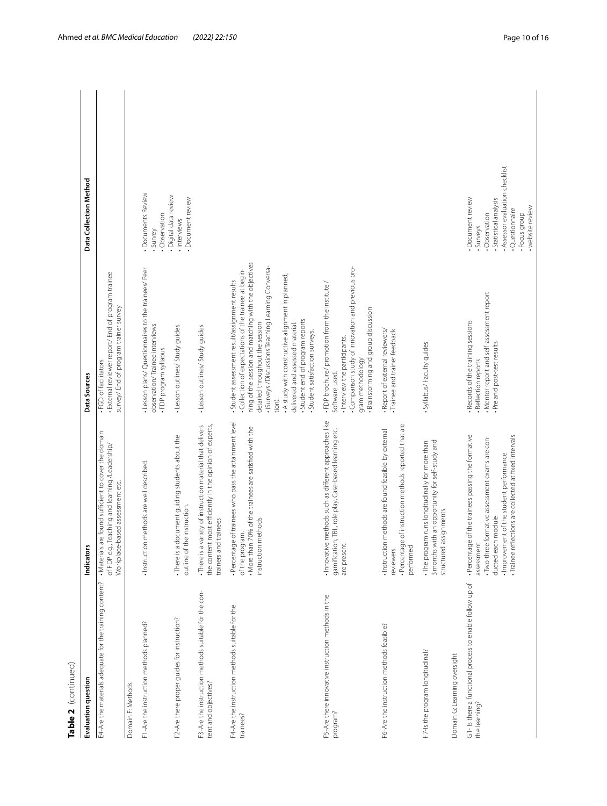| c |
|---|
|   |
|   |
|   |
|   |

| Table 2 (continued)                                                          |                                                                                                                                                                                                                                                  |                                                                                                                                                                                                                                                                                                                                                                                                                                  |                                                                                                                                                                      |  |
|------------------------------------------------------------------------------|--------------------------------------------------------------------------------------------------------------------------------------------------------------------------------------------------------------------------------------------------|----------------------------------------------------------------------------------------------------------------------------------------------------------------------------------------------------------------------------------------------------------------------------------------------------------------------------------------------------------------------------------------------------------------------------------|----------------------------------------------------------------------------------------------------------------------------------------------------------------------|--|
| Evaluation question                                                          | cators<br>İndi                                                                                                                                                                                                                                   | Data Sources                                                                                                                                                                                                                                                                                                                                                                                                                     | Data Collection Method                                                                                                                                               |  |
| E4-Are the materials adequate for the training content?                      | . Materials are found sufficient to cover the domain<br>of FDP e.g., Teaching and learning /Leadership/<br>Workplace-based assessment etc.                                                                                                       | · External reviewer report/ End of program trainee<br>survey/ End of program trainer survey<br>. FGD of facilitators                                                                                                                                                                                                                                                                                                             |                                                                                                                                                                      |  |
| Domain F: Methods                                                            |                                                                                                                                                                                                                                                  |                                                                                                                                                                                                                                                                                                                                                                                                                                  |                                                                                                                                                                      |  |
| F1-Are the instruction methods planned?                                      | · Instruction methods are well described.                                                                                                                                                                                                        | · Lesson plans/ Questionnaires to the trainees/ Peer<br>observation/Trainee interviews<br>. FDP program syllabus                                                                                                                                                                                                                                                                                                                 | · Documents Review<br>. Observation<br>·Survey                                                                                                                       |  |
| F2-Are there proper guides for instruction?                                  | . There is a document guiding students about the<br>outline of the instruction.                                                                                                                                                                  | · Lesson outlines/ Study guides                                                                                                                                                                                                                                                                                                                                                                                                  | · Digital data review<br>· Document review<br>· Interviews                                                                                                           |  |
| F3-Are the instruction methods suitable for the con-<br>tent and objectives? | - There is a variety of instruction material that delivers<br>the content most efficiently in the opinion of experts,<br>trainers and trainees                                                                                                   | · Lesson outlines/ Study guides                                                                                                                                                                                                                                                                                                                                                                                                  |                                                                                                                                                                      |  |
| F4-Are the instruction methods suitable for the<br>trainees?                 | . Percentage of trainees who pass the attainment level<br>. More than 70% of the trainees are satisfied with the<br>instruction methods<br>of the program.                                                                                       | ning of the session and matching with the objectives<br>- (Surveys / Discussions Teaching Learning Conversa-<br>Collection of expectations of the trainee at begin-<br>. A study with constructive alignment in planned,<br>- Student assessment result/assignment results<br>Student end of program reports<br>detailed throughout the session<br>delivered and assessed material.<br>- Student satisfaction surveys.<br>tion). |                                                                                                                                                                      |  |
| F5-Are there innovative instruction methods in the<br>program?               | . Innovative methods such as different approaches like<br>gamification, TBL, role play, Case-based learning etc.<br>are present                                                                                                                  | Comparison study of innovation and previous pro-<br>. FDP brochure/ promotion from the institute /<br>Brainstorming and group discussion<br>· Interview the participants.<br>gram methodology<br>Software used.                                                                                                                                                                                                                  |                                                                                                                                                                      |  |
| F6-Are the instruction methods feasible?                                     | · Percentage of instruction methods reported that are<br>· Instruction methods are found feasible by external<br>performed<br>reviewers.                                                                                                         | - Report of external reviewers/<br>· Trainee and trainer feedback                                                                                                                                                                                                                                                                                                                                                                |                                                                                                                                                                      |  |
| F7-Is the program longitudinal?                                              | . The program runs longitudinally for more than<br>3 months with an opportunity for self-study and<br>structured assignments.                                                                                                                    | · Syllabus/ Faculty guides                                                                                                                                                                                                                                                                                                                                                                                                       |                                                                                                                                                                      |  |
| Domain G: Learning oversight                                                 |                                                                                                                                                                                                                                                  |                                                                                                                                                                                                                                                                                                                                                                                                                                  |                                                                                                                                                                      |  |
| G1-Is there a functional process to enable follow up of<br>the learning?     | . Percentage of the trainees passing the formative<br>· Trainee reflections are collected at fixed intervals<br>-Two-three formative assessment exams are con-<br>. Improvement of the student performance<br>ducted each module.<br>assessment. | . Mentor report and self-assessment report<br>- Records of the training sessions<br>. Pre and post-test results<br>· Reflection reports                                                                                                                                                                                                                                                                                          | . Assessor evaluation checklist<br>· Document review<br>· Statistical analysis<br>• website review<br>· Questionnaire<br>· Focus group<br>. Observation<br>· Surveys |  |

 $\overline{\phantom{a}}$ 

 $\overline{\phantom{a}}$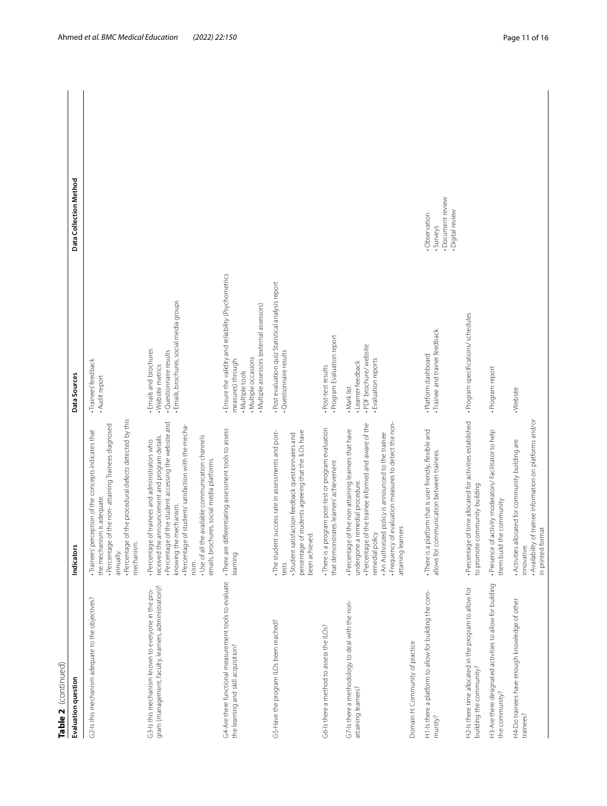| Table 2  (continued)                                                                                        |                                                                                                                                                                                                                                                                                                                                                            |                                                                                                                                                                     |                                                                     |
|-------------------------------------------------------------------------------------------------------------|------------------------------------------------------------------------------------------------------------------------------------------------------------------------------------------------------------------------------------------------------------------------------------------------------------------------------------------------------------|---------------------------------------------------------------------------------------------------------------------------------------------------------------------|---------------------------------------------------------------------|
| Evaluation question                                                                                         | Indicators                                                                                                                                                                                                                                                                                                                                                 | Data Sources                                                                                                                                                        | Data Collection Method                                              |
| G2-Is this mechanism adequate to the objectives?                                                            | of the procedural defects detected by this<br>· Percentage of the non-attaining Trainees diagnosed<br>· Trainees' perception of the concepts indicates that<br>the mechanism is adequate<br>. Percentage<br>mechanism.<br>annually.                                                                                                                        | · Trainees' feedback<br>. Audit report                                                                                                                              |                                                                     |
| gram (management, faculty, learners, administration)?<br>G3-Is this mechanism known to everyone in the pro- | · Percentage of the student accessing the website and<br>· Percentage of students' satisfaction with the mecha-<br>received the announcement and program details.<br>Use of all the available communication channels<br>. Percentage of trainees and administrators who<br>emails, brochures, social media platforms.<br>mechanism<br>knowing the<br>nism. | · Emails, brochures, social media groups<br>· Emails and brochures<br>· Questionnaire results<br>· Website metrics                                                  |                                                                     |
| G4-Are there functional measurement tools to evaluate<br>the learning and skill acquisition?                | . There are differentiating assessment tools to assess<br>learning                                                                                                                                                                                                                                                                                         | - Ensure the validity and reliability (Psychometrics<br>· Multiple assessors (external assessors)<br>. Multiple occasions<br>measures) through:<br>. Multiple tools |                                                                     |
| G5-Have the program ILOs been reached?                                                                      | percentage of students agreeing that the ILOs have<br>success rate in assessments and post-<br>Student satisfaction feedback questionnaires and<br>been achieved.<br>The student<br>tests                                                                                                                                                                  | - Post evaluation quiz Statistical analysis report<br>· Questionnaire results                                                                                       |                                                                     |
| G6-Is there a method to assess the ILOs?                                                                    | There is a program post-test or program evaluation<br>that demonstrates learners' achievement                                                                                                                                                                                                                                                              | . Program Evaluation report<br>. Post-test results                                                                                                                  |                                                                     |
| G7-Is there a methodology to deal with the non-<br>attaining learners?                                      | Frequency of evaluation measures to detect the non-<br>· Percentage of the trainee informed and aware of the<br>Percentage of the non-attaining learners that have<br>. An Authorized policy is announced to the trainee<br>undergone a remedial procedure.<br>attaining learners<br>remedial policy                                                       | . PDF brochure/ website<br>· Evaluation reports<br>· Learner feedback<br>Mark list                                                                                  |                                                                     |
| Domain H: Community of practice                                                                             |                                                                                                                                                                                                                                                                                                                                                            |                                                                                                                                                                     |                                                                     |
| H1-Is there a platform to allow for building the com-<br>munity?                                            | . There is a platform that is user friendly, flexible and<br>allows for communication between trainees                                                                                                                                                                                                                                                     | · Trainee and trainer feedback<br>. Platform dashboard                                                                                                              | · Document review<br>· Digital review<br>. Observation<br>· Surveys |
| H2-Is there time allocated in the program to allow for<br>building the community?                           | · Percentage of time allocated for activities established<br>to promote community building                                                                                                                                                                                                                                                                 | · Program specifications/ schedules                                                                                                                                 |                                                                     |
| H3-Are there designated activities to allow for building<br>the community?                                  | activity moderators/Facilitator to help<br>them build the community<br>·Presence of                                                                                                                                                                                                                                                                        | · Program report                                                                                                                                                    |                                                                     |
| H4-Do trainees have enough knowledge of other<br>trainees?                                                  | of trainee information on platforms and/or<br>Activities allocated for community building are<br>in printed format<br>. Availability<br>innovative.                                                                                                                                                                                                        | · Website                                                                                                                                                           |                                                                     |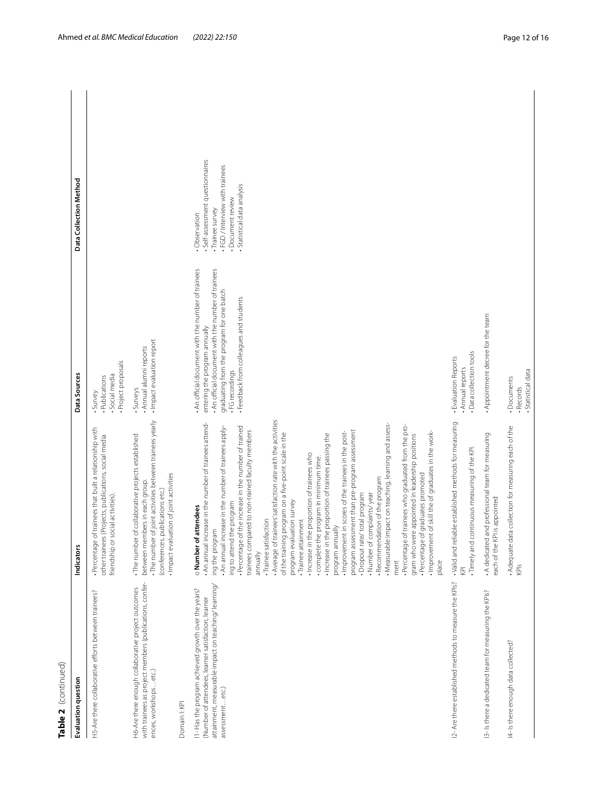| r |
|---|
| c |
|   |
|   |
| ۴ |

| Table 2 (continued)                                                                                                                                                                  |                                                                                                                                                                                                                                                                                                                                                                                                                                                                                                                                                                                                                                                                                                                                                                                                                                                                                                                                                                                                                                                                                                                                                                                                  |                                                                                                                                                                                                                                                      |                                                                                                                                                              |  |
|--------------------------------------------------------------------------------------------------------------------------------------------------------------------------------------|--------------------------------------------------------------------------------------------------------------------------------------------------------------------------------------------------------------------------------------------------------------------------------------------------------------------------------------------------------------------------------------------------------------------------------------------------------------------------------------------------------------------------------------------------------------------------------------------------------------------------------------------------------------------------------------------------------------------------------------------------------------------------------------------------------------------------------------------------------------------------------------------------------------------------------------------------------------------------------------------------------------------------------------------------------------------------------------------------------------------------------------------------------------------------------------------------|------------------------------------------------------------------------------------------------------------------------------------------------------------------------------------------------------------------------------------------------------|--------------------------------------------------------------------------------------------------------------------------------------------------------------|--|
| Evaluation question                                                                                                                                                                  | Indicators                                                                                                                                                                                                                                                                                                                                                                                                                                                                                                                                                                                                                                                                                                                                                                                                                                                                                                                                                                                                                                                                                                                                                                                       | Data Sources                                                                                                                                                                                                                                         | Data Collection Method                                                                                                                                       |  |
| H5-Are there collaborative efforts between trainees?                                                                                                                                 | . Percentage of trainees that built a relationship with<br>other trainees (Projects, publications, social media<br>friendship or social activities)                                                                                                                                                                                                                                                                                                                                                                                                                                                                                                                                                                                                                                                                                                                                                                                                                                                                                                                                                                                                                                              | · Project proposals<br>Social media<br>· Publications<br>· Survey                                                                                                                                                                                    |                                                                                                                                                              |  |
| with trainees as project members (publications, confer-<br>H6-Are there enough collaborative project outcomes<br>ences, workshopsetc.)<br>Domain I: KPI                              | · The number of joint activities between trainees yearly<br>. The number of collaborative projects established<br>. Impact evaluation of joint activities<br>between members in each group.<br>(conferences, publications etc.)                                                                                                                                                                                                                                                                                                                                                                                                                                                                                                                                                                                                                                                                                                                                                                                                                                                                                                                                                                  | · Impact evaluation report<br>· Annual alumni reports<br>· Surveys                                                                                                                                                                                   |                                                                                                                                                              |  |
|                                                                                                                                                                                      |                                                                                                                                                                                                                                                                                                                                                                                                                                                                                                                                                                                                                                                                                                                                                                                                                                                                                                                                                                                                                                                                                                                                                                                                  |                                                                                                                                                                                                                                                      |                                                                                                                                                              |  |
| attainment, measurable impact on teaching/learning/<br>11- Has the program achieved growth over the years?<br>(Number of attendees, learner satisfaction, learner<br>assessmentetc.) | . Average of trainees' satisfaction rate with the activities<br>. An annual increase in the number of trainees attend-<br>. Measurable impact on teaching, learning and assess-<br>. Percentage of trainees who graduated from the pro-<br>. Percentage of the increase in the number of trained<br>. An annual increase in the number of trainees apply-<br>trainees compared to non-trained faculty members<br>program assessment than pre-program assessment<br>. Improvement of skill the of graduates in the work-<br>. Improvement in scores of the trainees in the post-<br>of the training program on a five-point scale in the<br>. Increase in the proportion of trainees passing the<br>gram who were appointed in leadership positions<br>. Increase in the proportion of trainees who<br>complete the program in minimum time.<br>· Percentage of graduates promoted<br>- Recommendation of the program<br>. Number of complaints/year<br>· Dropout rate/ total program<br>program evaluation survey<br>ing to attend the program<br>of attendees<br>· Trainee attainment<br>· Trainee satisfaction<br>program annually<br>ing the program<br>o Number<br>annually<br>ment<br>place | . An official document with the number of trainees<br>. An official document with the number of trainees<br>graduating from the program for one batch<br>· Feedback from colleagues and students<br>entering the program annually<br>· FG recordings | · Self-assessment questionnaires<br>. FGD / Interview with trainees<br>· Statistical data analysis<br>· Document review<br>· Trainee survey<br>. Observation |  |
| 2- Are there established methods to measure the KPIs?                                                                                                                                | . Valid and reliable established methods for measuring<br>. Timely and continuous measuring of the KPI<br>$\overline{\mathbb{R}}$                                                                                                                                                                                                                                                                                                                                                                                                                                                                                                                                                                                                                                                                                                                                                                                                                                                                                                                                                                                                                                                                | · Data collection tools<br>- Evaluation Reports<br>Annual reports                                                                                                                                                                                    |                                                                                                                                                              |  |
| 13- Is there a dedicated team for measuring the KPIs?                                                                                                                                | . A dedicated and professional team for measuring<br>each of the KPI is appointed                                                                                                                                                                                                                                                                                                                                                                                                                                                                                                                                                                                                                                                                                                                                                                                                                                                                                                                                                                                                                                                                                                                | . Appointment decree for the team                                                                                                                                                                                                                    |                                                                                                                                                              |  |
| 4- Is there enough data collected?                                                                                                                                                   | . Adequate data collection for measuring each of the<br>KPIs                                                                                                                                                                                                                                                                                                                                                                                                                                                                                                                                                                                                                                                                                                                                                                                                                                                                                                                                                                                                                                                                                                                                     | Statistical data<br>· Documents<br>· Records                                                                                                                                                                                                         |                                                                                                                                                              |  |
|                                                                                                                                                                                      |                                                                                                                                                                                                                                                                                                                                                                                                                                                                                                                                                                                                                                                                                                                                                                                                                                                                                                                                                                                                                                                                                                                                                                                                  |                                                                                                                                                                                                                                                      |                                                                                                                                                              |  |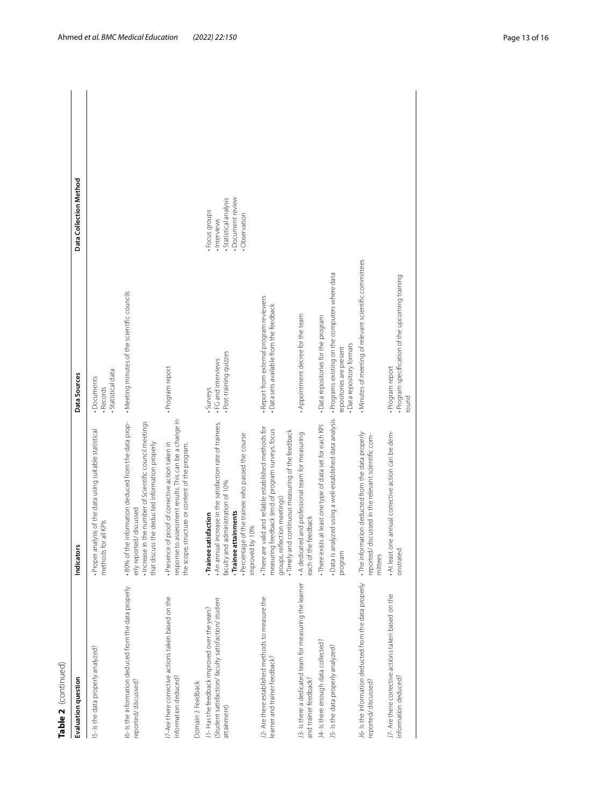| ť |
|---|
|   |
| c |
|   |
|   |
|   |
| ٦ |

| Table 2 (continued)                                                                                                |                                                                                                                                                                                                                          |                                                                                                          |                                                                                                |  |
|--------------------------------------------------------------------------------------------------------------------|--------------------------------------------------------------------------------------------------------------------------------------------------------------------------------------------------------------------------|----------------------------------------------------------------------------------------------------------|------------------------------------------------------------------------------------------------|--|
| Evaluation question                                                                                                | <b>Indicators</b>                                                                                                                                                                                                        | Data Sources                                                                                             | Data Collection Method                                                                         |  |
| IS- Is the data properly analyzed?                                                                                 | Proper analysis of the data using suitable statistical<br>methods for all KPIs                                                                                                                                           | · Statistical data<br>· Documents<br>· Records                                                           |                                                                                                |  |
| 6- Is the information deduced from the data properly<br>reported/discussed?                                        | .80% of the information deduced from the data prop-<br>· Increase in the number of Scientific council meetings<br>that discuss the deducted information properly<br>erly reported/discussed                              | . Meeting minutes of the scientific councils                                                             |                                                                                                |  |
| 7-Are there corrective actions taken based on the<br>information deduced?                                          | response to assessment results. This can be a change in<br>Presence of proof of corrective action taken in<br>the scope, structure or content of the program.                                                            | · Program report                                                                                         |                                                                                                |  |
| Domain J: Feedback                                                                                                 |                                                                                                                                                                                                                          |                                                                                                          |                                                                                                |  |
| (Student satisfaction/faculty satisfaction/ student<br>J1-Has the feedback improved over the years?<br>attainment) | . An annual increase in the satisfaction rate of trainees,<br>. Percentage of the trainee who passed the course<br>faculty and administration of 10%<br>-Trainee attainments<br>-Trainee satisfaction<br>improved by 10% | · Post-training quizzes<br>. FG and interviews<br>Surveys                                                | · Document review<br>· Statistical analysis<br>· Focus groups<br>. Observation<br>· Interviews |  |
| 2- Are there established methods to measure the<br>learner and trainer feedback?                                   | . There are valid and reliable established methods for<br>measuring feedback (end of program surveys, focus<br>Timely and continuous measuring of the feedback<br>groups, reflection meetings)                           | - Report from external program reviewers<br>· Data sets available from the feedback                      |                                                                                                |  |
| 13- Is there a dedicated team for measuring the learner<br>and trainer feedback?                                   | A dedicated and professional team for measuring<br>each of the feedback                                                                                                                                                  | . Appointment decree for the team                                                                        |                                                                                                |  |
| J4-Is there enough data collected?                                                                                 | . There exists at least one type of data set for each KPI                                                                                                                                                                | . Data repositories for the program                                                                      |                                                                                                |  |
| J5-Is the data properly analyzed?                                                                                  | · Data is analyzed using a well-established data analysis<br>program                                                                                                                                                     | · Programs existing on the computers where data<br>- Data repository formats<br>repositories are present |                                                                                                |  |
| J6- Is the information deducted from the data properly<br>reported/discussed?                                      | . The information deducted from the data properly<br>reported/ discussed in the relevant scientific com-<br>mittees                                                                                                      | . Minutes of meeting of relevant scientific committees                                                   |                                                                                                |  |
| J7- Are there corrective actions taken based on the<br>information deduced?                                        | . At least one annual corrective action can be dem-<br>onstrated                                                                                                                                                         | · Program specification of the upcoming training<br>· Program report<br>round                            |                                                                                                |  |
|                                                                                                                    |                                                                                                                                                                                                                          |                                                                                                          |                                                                                                |  |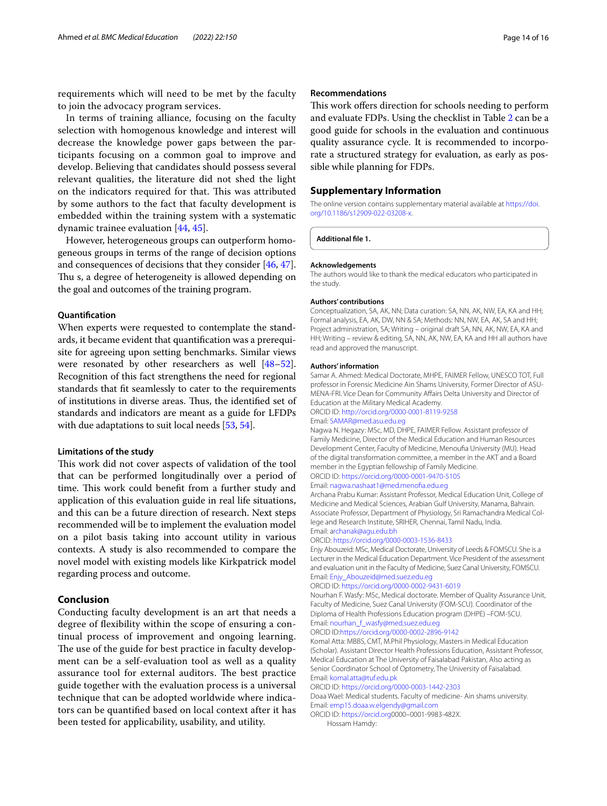requirements which will need to be met by the faculty to join the advocacy program services.

In terms of training alliance, focusing on the faculty selection with homogenous knowledge and interest will decrease the knowledge power gaps between the participants focusing on a common goal to improve and develop. Believing that candidates should possess several relevant qualities, the literature did not shed the light on the indicators required for that. This was attributed by some authors to the fact that faculty development is embedded within the training system with a systematic dynamic trainee evaluation [\[44](#page-15-10), [45\]](#page-15-11).

However, heterogeneous groups can outperform homogeneous groups in terms of the range of decision options and consequences of decisions that they consider [\[46,](#page-15-12) [47](#page-15-13)]. Thu s, a degree of heterogeneity is allowed depending on the goal and outcomes of the training program.

## **Quantifcation**

When experts were requested to contemplate the standards, it became evident that quantifcation was a prerequisite for agreeing upon setting benchmarks. Similar views were resonated by other researchers as well [[48](#page-15-14)[–52](#page-15-15)]. Recognition of this fact strengthens the need for regional standards that ft seamlessly to cater to the requirements of institutions in diverse areas. Thus, the identified set of standards and indicators are meant as a guide for LFDPs with due adaptations to suit local needs [\[53,](#page-15-16) [54](#page-15-17)].

#### **Limitations of the study**

This work did not cover aspects of validation of the tool that can be performed longitudinally over a period of time. This work could benefit from a further study and application of this evaluation guide in real life situations, and this can be a future direction of research. Next steps recommended will be to implement the evaluation model on a pilot basis taking into account utility in various contexts. A study is also recommended to compare the novel model with existing models like Kirkpatrick model regarding process and outcome.

## **Conclusion**

Conducting faculty development is an art that needs a degree of fexibility within the scope of ensuring a continual process of improvement and ongoing learning. The use of the guide for best practice in faculty development can be a self-evaluation tool as well as a quality assurance tool for external auditors. The best practice guide together with the evaluation process is a universal technique that can be adopted worldwide where indicators can be quantifed based on local context after it has been tested for applicability, usability, and utility.

## **Recommendations**

This work offers direction for schools needing to perform and evaluate FDPs. Using the checklist in Table [2](#page-7-0) can be a good guide for schools in the evaluation and continuous quality assurance cycle. It is recommended to incorporate a structured strategy for evaluation, as early as possible while planning for FDPs.

## **Supplementary Information**

The online version contains supplementary material available at [https://doi.](https://doi.org/10.1186/s12909-022-03208-x) [org/10.1186/s12909-022-03208-x.](https://doi.org/10.1186/s12909-022-03208-x)

<span id="page-13-0"></span>**Additional fle 1.**

#### **Acknowledgements**

The authors would like to thank the medical educators who participated in the study.

#### **Authors' contributions**

Conceptualization, SA, AK, NN; Data curation: SA, NN, AK, NW, EA, KA and HH; Formal analysis, EA, AK, DW, NN & SA; Methods: NN, NW, EA, AK, SA and HH; Project administration, SA; Writing – original draft SA, NN, AK, NW, EA, KA and HH; Writing – review & editing, SA, NN, AK, NW, EA, KA and HH all authors have read and approved the manuscript.

#### **Authors' information**

Samar A. Ahmed: Medical Doctorate, MHPE, FAIMER Fellow, UNESCO TOT, Full professor in Forensic Medicine Ain Shams University, Former Director of ASU-MENA-FRI. Vice Dean for Community Afairs Delta University and Director of Education at the Military Medical Academy.

ORCID ID: [http://orcid.org/0000-0001-8119-9258](https://orcid.org/0000-0001-8119-9258) Email: <SAMAR@med.asu.edu.eg>

Nagwa N. Hegazy: MSc, MD, DHPE, FAIMER Fellow. Assistant professor of Family Medicine, Director of the Medical Education and Human Resources Development Center, Faculty of Medicine, Menoufa University (MU). Head of the digital transformation committee, a member in the AKT and a Board member in the Egyptian fellowship of Family Medicine.

ORCID ID:<https://orcid.org/0000-0001-9470-5105> Email: <nagwa.nashaat1@med.menofia.edu.eg>

Archana Prabu Kumar: Assistant Professor, Medical Education Unit, College of Medicine and Medical Sciences, Arabian Gulf University, Manama, Bahrain. Associate Professor, Department of Physiology, Sri Ramachandra Medical College and Research Institute, SRIHER, Chennai, Tamil Nadu, India. Email: [archanak@agu.edu.bh](rchanak@agu.edu.bh)

#### ORCID:<https://orcid.org/0000-0003-1536-8433>

Enjy Abouzeid: MSc, Medical Doctorate, University of Leeds & FOMSCU. She is a Lecturer in the Medical Education Department. Vice President of the assessment and evaluation unit in the Faculty of Medicine, Suez Canal University, FOMSCU. Email: [Enjy\\_Abouzeid@med.suez.edu.eg](Enjy_Abouzeid@med.suez.edu.eg)

```
ORCID ID: https://orcid.org/0000-0002-9431-6019
```
Nourhan F. Wasfy: MSc, Medical doctorate. Member of Quality Assurance Unit, Faculty of Medicine, Suez Canal University (FOM-SCU). Coordinator of the Diploma of Health Professions Education program (DHPE) –FOM-SCU. Email: [nourhan\\_f\\_wasfy@med.suez.edu.eg](nourhan_f_wasfy@med.suez.edu.eg)

#### ORCID ID:<https://orcid.org/0000-0002-2896-9142>

Komal Atta: MBBS, CMT, M.Phil Physiology, Masters in Medical Education (Scholar). Assistant Director Health Professions Education, Assistant Professor, Medical Education at The University of Faisalabad Pakistan, Also acting as Senior Coordinator School of Optometry, The University of Faisalabad. Email: <komal.atta@tuf.edu.pk>

ORCID ID:<https://orcid.org/0000-0003-1442-2303>

Doaa Wael: Medical students. Faculty of medicine- Ain shams university. Email: <emp15.doaa.w.elgendy@gmail.com>

ORCID ID:<https://orcid.org>0000–0001-9983-482X.

Hossam Hamdy: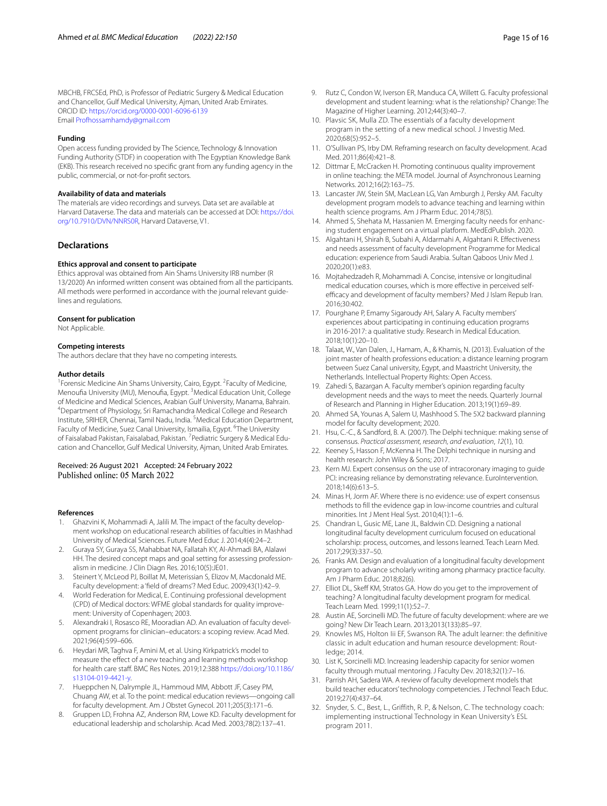#### **Funding**

Open access funding provided by The Science, Technology & Innovation Funding Authority (STDF) in cooperation with The Egyptian Knowledge Bank (EKB). This research received no specifc grant from any funding agency in the public, commercial, or not-for-proft sectors.

### **Availability of data and materials**

The materials are video recordings and surveys. Data set are available at Harvard Dataverse. The data and materials can be accessed at DOI: [https://doi.](https://doi.org/10.7910/DVN/NNRS0R) [org/10.7910/DVN/NNRS0R,](https://doi.org/10.7910/DVN/NNRS0R) Harvard Dataverse, V1.

## **Declarations**

#### **Ethics approval and consent to participate**

Ethics approval was obtained from Ain Shams University IRB number (R 13/2020) An informed written consent was obtained from all the participants. All methods were performed in accordance with the journal relevant guidelines and regulations.

#### **Consent for publication**

Not Applicable.

#### **Competing interests**

The authors declare that they have no competing interests.

#### **Author details**

<sup>1</sup> Forensic Medicine Ain Shams University, Cairo, Egypt. <sup>2</sup> Faculty of Medicine, Menoufia University (MU), Menoufia, Egypt. <sup>3</sup>Medical Education Unit, College of Medicine and Medical Sciences, Arabian Gulf University, Manama, Bahrain. 4 Department of Physiology, Sri Ramachandra Medical College and Research Institute, SRIHER, Chennai, Tamil Nadu, India. <sup>5</sup> Medical Education Department, Faculty of Medicine, Suez Canal University, Ismailia, Egypt. <sup>6</sup>The University of Faisalabad Pakistan, Faisalabad, Pakistan. <sup>7</sup> Pediatric Surgery & Medical Education and Chancellor, Gulf Medical University, Ajman, United Arab Emirates.

## Received: 26 August 2021 Accepted: 24 February 2022 Published online: 05 March 2022

#### **References**

- <span id="page-14-0"></span>1. Ghazvini K, Mohammadi A, Jalili M. The impact of the faculty development workshop on educational research abilities of faculties in Mashhad University of Medical Sciences. Future Med Educ J. 2014;4(4):24–2.
- <span id="page-14-1"></span>2. Guraya SY, Guraya SS, Mahabbat NA, Fallatah KY, Al-Ahmadi BA, Alalawi HH. The desired concept maps and goal setting for assessing professionalism in medicine. J Clin Diagn Res. 2016;10(5):JE01.
- <span id="page-14-2"></span>3. Steinert Y, McLeod PJ, Boillat M, Meterissian S, Elizov M, Macdonald ME. Faculty development: a 'feld of dreams'? Med Educ. 2009;43(1):42–9.
- <span id="page-14-3"></span>4. World Federation for Medical, E. Continuing professional development (CPD) of Medical doctors: WFME global standards for quality improvement: University of Copenhagen; 2003.
- <span id="page-14-4"></span>5. Alexandraki I, Rosasco RE, Mooradian AD. An evaluation of faculty development programs for clinician–educators: a scoping review. Acad Med. 2021;96(4):599–606.
- <span id="page-14-5"></span>6. Heydari MR, Taghva F, Amini M, et al. Using Kirkpatrick's model to measure the efect of a new teaching and learning methods workshop for health care staff. BMC Res Notes. 2019;12:388 [https://doi.org/10.1186/](https://doi.org/10.1186/s13104-019-4421-y) [s13104-019-4421-y](https://doi.org/10.1186/s13104-019-4421-y).
- <span id="page-14-6"></span>7. Hueppchen N, Dalrymple JL, Hammoud MM, Abbott JF, Casey PM, Chuang AW, et al. To the point: medical education reviews—ongoing call for faculty development. Am J Obstet Gynecol. 2011;205(3):171–6.
- <span id="page-14-7"></span>Gruppen LD, Frohna AZ, Anderson RM, Lowe KD. Faculty development for educational leadership and scholarship. Acad Med. 2003;78(2):137–41.
- <span id="page-14-8"></span>9. Rutz C, Condon W, Iverson ER, Manduca CA, Willett G. Faculty professional development and student learning: what is the relationship? Change: The Magazine of Higher Learning. 2012;44(3):40–7.
- <span id="page-14-9"></span>10. Plavsic SK, Mulla ZD. The essentials of a faculty development program in the setting of a new medical school. J Investig Med. 2020;68(5):952–5.
- <span id="page-14-10"></span>11. O'Sullivan PS, Irby DM. Reframing research on faculty development. Acad Med. 2011;86(4):421–8.
- <span id="page-14-11"></span>12. Dittmar E, McCracken H. Promoting continuous quality improvement in online teaching: the META model. Journal of Asynchronous Learning Networks. 2012;16(2):163–75.
- <span id="page-14-12"></span>13. Lancaster JW, Stein SM, MacLean LG, Van Amburgh J, Persky AM. Faculty development program models to advance teaching and learning within health science programs. Am J Pharm Educ. 2014;78(5).
- <span id="page-14-13"></span>14. Ahmed S, Shehata M, Hassanien M. Emerging faculty needs for enhancing student engagement on a virtual platform. MedEdPublish. 2020.
- 15. Algahtani H, Shirah B, Subahi A, Aldarmahi A, Algahtani R. Efectiveness and needs assessment of faculty development Programme for Medical education: experience from Saudi Arabia. Sultan Qaboos Univ Med J. 2020;20(1):e83.
- 16. Mojtahedzadeh R, Mohammadi A. Concise, intensive or longitudinal medical education courses, which is more efective in perceived selfefficacy and development of faculty members? Med J Islam Repub Iran. 2016;30:402.
- 17. Pourghane P, Emamy Sigaroudy AH, Salary A. Faculty members' experiences about participating in continuing education programs in 2016-2017: a qualitative study. Research in Medical Education. 2018;10(1):20–10.
- 18. Talaat, W., Van Dalen, J., Hamam, A., & Khamis, N. (2013). Evaluation of the joint master of health professions education: a distance learning program between Suez Canal university, Egypt, and Maastricht University, the Netherlands. Intellectual Property Rights: Open Access.
- <span id="page-14-14"></span>19. Zahedi S, Bazargan A. Faculty member's opinion regarding faculty development needs and the ways to meet the needs. Quarterly Journal of Research and Planning in Higher Education. 2013;19(1):69–89.
- <span id="page-14-15"></span>20. Ahmed SA, Younas A, Salem U, Mashhood S. The 5X2 backward planning model for faculty development; 2020.
- <span id="page-14-16"></span>21. Hsu, C.-C., & Sandford, B. A. (2007). The Delphi technique: making sense of consensus. *Practical assessment, research, and evaluation*, *12*(1), 10.
- <span id="page-14-17"></span>22. Keeney S, Hasson F, McKenna H. The Delphi technique in nursing and health research: John Wiley & Sons; 2017.
- <span id="page-14-18"></span>23. Kern MJ. Expert consensus on the use of intracoronary imaging to guide PCI: increasing reliance by demonstrating relevance. EuroIntervention. 2018;14(6):613–5.
- <span id="page-14-19"></span>24. Minas H, Jorm AF. Where there is no evidence: use of expert consensus methods to fll the evidence gap in low-income countries and cultural minorities. Int J Ment Heal Syst. 2010;4(1):1–6.
- <span id="page-14-20"></span>25. Chandran L, Gusic ME, Lane JL, Baldwin CD. Designing a national longitudinal faculty development curriculum focused on educational scholarship: process, outcomes, and lessons learned. Teach Learn Med. 2017;29(3):337–50.
- <span id="page-14-21"></span>26. Franks AM. Design and evaluation of a longitudinal faculty development program to advance scholarly writing among pharmacy practice faculty. Am J Pharm Educ. 2018;82(6).
- <span id="page-14-22"></span>27. Elliot DL, Skeff KM, Stratos GA. How do you get to the improvement of teaching? A longitudinal faculty development program for medical. Teach Learn Med. 1999;11(1):52–7.
- <span id="page-14-23"></span>28. Austin AE, Sorcinelli MD. The future of faculty development: where are we going? New Dir Teach Learn. 2013;2013(133):85–97.
- 29. Knowles MS, Holton Iii EF, Swanson RA. The adult learner: the defnitive classic in adult education and human resource development: Routledge; 2014.
- 30. List K, Sorcinelli MD. Increasing leadership capacity for senior women faculty through mutual mentoring. J Faculty Dev. 2018;32(1):7–16.
- 31. Parrish AH, Sadera WA. A review of faculty development models that build teacher educators' technology competencies. J Technol Teach Educ. 2019;27(4):437–64.
- 32. Snyder, S. C., Best, L., Griffith, R. P., & Nelson, C. The technology coach: implementing instructional Technology in Kean University's ESL program 2011.